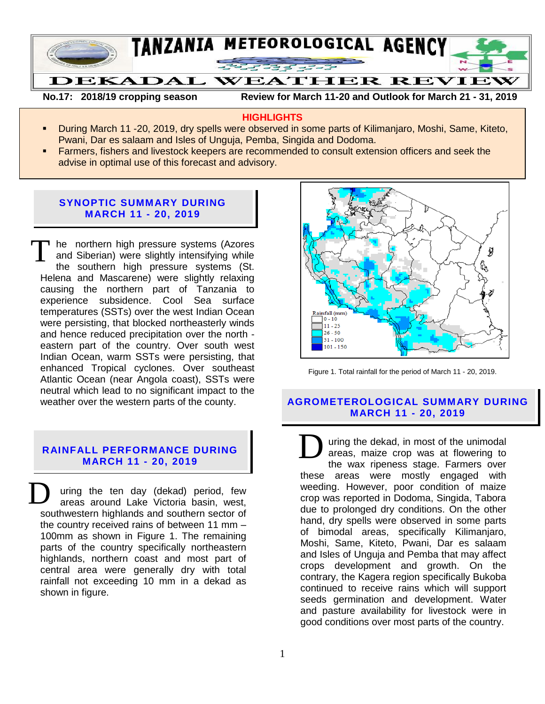

**No.17: 2018/19 cropping season Review for March 11-20 and Outlook for March 21 - 31, 2019** 

## **HIGHLIGHTS**

- During March 11 -20, 2019, dry spells were observed in some parts of Kilimanjaro, Moshi, Same, Kiteto, Pwani, Dar es salaam and Isles of Unguja, Pemba, Singida and Dodoma.
- Farmers, fishers and livestock keepers are recommended to consult extension officers and seek the advise in optimal use of this forecast and advisory.

## **SYNOPTIC SUMMARY DURING MARCH 11 - 20, 2019**

he northern high pressure systems (Azores and Siberian) were slightly intensifying while the southern high pressure systems (St. Helena and Mascarene) were slightly relaxing causing the northern part of Tanzania to experience subsidence. Cool Sea surface temperatures (SSTs) over the west Indian Ocean were persisting, that blocked northeasterly winds and hence reduced precipitation over the north eastern part of the country. Over south west Indian Ocean, warm SSTs were persisting, that enhanced Tropical cyclones. Over southeast Atlantic Ocean (near Angola coast), SSTs were neutral which lead to no significant impact to the weather over the western parts of the county. T

#### **RAINFALL PERFORMANCE DURING MARCH 11 - 20, 2019**

uring the ten day (dekad) period, few areas around Lake Victoria basin, west, southwestern highlands and southern sector of the country received rains of between 11 mm – 100mm as shown in Figure 1. The remaining parts of the country specifically northeastern highlands, northern coast and most part of central area were generally dry with total rainfall not exceeding 10 mm in a dekad as shown in figure. D



Figure 1. Total rainfall for the period of March 11 - 20, 2019.

# **AGROMETEROLOGICAL SUMMARY DURING MARCH 11 - 20, 2019**

uring the dekad, in most of the unimodal areas, maize crop was at flowering to the wax ripeness stage. Farmers over these areas were mostly engaged with weeding. However, poor condition of maize crop was reported in Dodoma, Singida, Tabora due to prolonged dry conditions. On the other hand, dry spells were observed in some parts of bimodal areas, specifically Kilimanjaro, Moshi, Same, Kiteto, Pwani, Dar es salaam and Isles of Unguja and Pemba that may affect crops development and growth. On the contrary, the Kagera region specifically Bukoba continued to receive rains which will support seeds germination and development. Water and pasture availability for livestock were in good conditions over most parts of the country. D